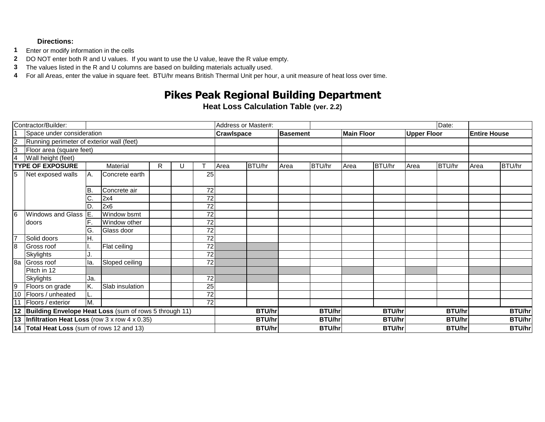## **Directions:**

- **1** Enter or modify information in the cells
- **2** DO NOT enter both R and U values. If you want to use the U value, leave the R value empty.
- **3** The values listed in the R and U columns are based on building materials actually used.
- **4** For all Areas, enter the value in square feet. BTU/hr means British Thermal Unit per hour, a unit measure of heat loss over time.

## **Pikes Peak Regional Building Department**

**Heat Loss Calculation Table (ver. 2.2)**

| Contractor/Builder:                               |                                                        |          |                 |    |   | Address or Master#: |                   |        |                 |               |                   |               | Date:              |               |                     |               |  |
|---------------------------------------------------|--------------------------------------------------------|----------|-----------------|----|---|---------------------|-------------------|--------|-----------------|---------------|-------------------|---------------|--------------------|---------------|---------------------|---------------|--|
| Space under consideration                         |                                                        |          |                 |    |   |                     | <b>Crawlspace</b> |        | <b>Basement</b> |               | <b>Main Floor</b> |               | <b>Upper Floor</b> |               | <b>Entire House</b> |               |  |
| $rac{2}{3}$                                       | Running perimeter of exterior wall (feet)              |          |                 |    |   |                     |                   |        |                 |               |                   |               |                    |               |                     |               |  |
|                                                   | Floor area (square feet)                               |          |                 |    |   |                     |                   |        |                 |               |                   |               |                    |               |                     |               |  |
| $\overline{4}$<br>Wall height (feet)              |                                                        |          |                 |    |   |                     |                   |        |                 |               |                   |               |                    |               |                     |               |  |
| <b>TYPE OF EXPOSURE</b>                           |                                                        | Material |                 | R. | U |                     | Area              | BTU/hr | Area            | BTU/hr        | Area              | BTU/hr        | Area               | BTU/hr        | Area                | BTU/hr        |  |
| $\overline{5}$                                    | Net exposed walls                                      | IA.      | Concrete earth  |    |   | 25                  |                   |        |                 |               |                   |               |                    |               |                     |               |  |
|                                                   |                                                        | IB.      | Concrete air    |    |   | 72                  |                   |        |                 |               |                   |               |                    |               |                     |               |  |
|                                                   |                                                        | ◡        | 2x4             |    |   | 72                  |                   |        |                 |               |                   |               |                    |               |                     |               |  |
|                                                   |                                                        |          | 2x6             |    |   | 72                  |                   |        |                 |               |                   |               |                    |               |                     |               |  |
| 6                                                 | Windows and Glass E.<br>Idoors                         |          | Window bsmt     |    |   | $\overline{72}$     |                   |        |                 |               |                   |               |                    |               |                     |               |  |
|                                                   |                                                        |          | Window other    |    |   | $\overline{72}$     |                   |        |                 |               |                   |               |                    |               |                     |               |  |
|                                                   |                                                        | G.       | Glass door      |    |   | $\overline{72}$     |                   |        |                 |               |                   |               |                    |               |                     |               |  |
| 7                                                 | Solid doors                                            | Η.       |                 |    |   | $\overline{72}$     |                   |        |                 |               |                   |               |                    |               |                     |               |  |
| $\overline{8}$                                    | Gross roof                                             |          | Flat ceiling    |    |   | $\overline{72}$     |                   |        |                 |               |                   |               |                    |               |                     |               |  |
|                                                   | Skylights                                              |          |                 |    |   | $\overline{72}$     |                   |        |                 |               |                   |               |                    |               |                     |               |  |
| 8a                                                | Gross roof                                             | la.      | Sloped ceiling  |    |   | 72                  |                   |        |                 |               |                   |               |                    |               |                     |               |  |
|                                                   | Pitch in 12                                            |          |                 |    |   |                     |                   |        |                 |               |                   |               |                    |               |                     |               |  |
|                                                   | <b>Skylights</b>                                       | Ja.      |                 |    |   | 72                  |                   |        |                 |               |                   |               |                    |               |                     |               |  |
| 9                                                 | Floors on grade                                        | K.       | Slab insulation |    |   | 25                  |                   |        |                 |               |                   |               |                    |               |                     |               |  |
| 10                                                | Floors / unheated                                      | L.       |                 |    |   | 72                  |                   |        |                 |               |                   |               |                    |               |                     |               |  |
| 11                                                | Floors / exterior                                      | M.       |                 |    |   | $\overline{72}$     |                   |        |                 |               |                   |               |                    |               |                     |               |  |
| 12                                                | Building Envelope Heat Loss (sum of rows 5 through 11) |          |                 |    |   |                     | <b>BTU/hr</b>     |        | <b>BTU/hr</b>   |               | <b>BTU/hr</b>     |               | <b>BTU/hr</b>      |               | <b>BTU/hr</b>       |               |  |
| 13  Infiltration Heat Loss (row 3 x row 4 x 0.35) |                                                        |          |                 |    |   |                     | <b>BTU/hr</b>     |        |                 | <b>BTU/hr</b> |                   | <b>BTU/hr</b> |                    | <b>BTU/hr</b> |                     | <b>BTU/hr</b> |  |
| 14 Total Heat Loss (sum of rows 12 and 13)        |                                                        |          |                 |    |   |                     | <b>BTU/hr</b>     |        |                 | <b>BTU/hr</b> | <b>BTU/hr</b>     |               | <b>BTU/hr</b>      |               | <b>BTU/hr</b>       |               |  |